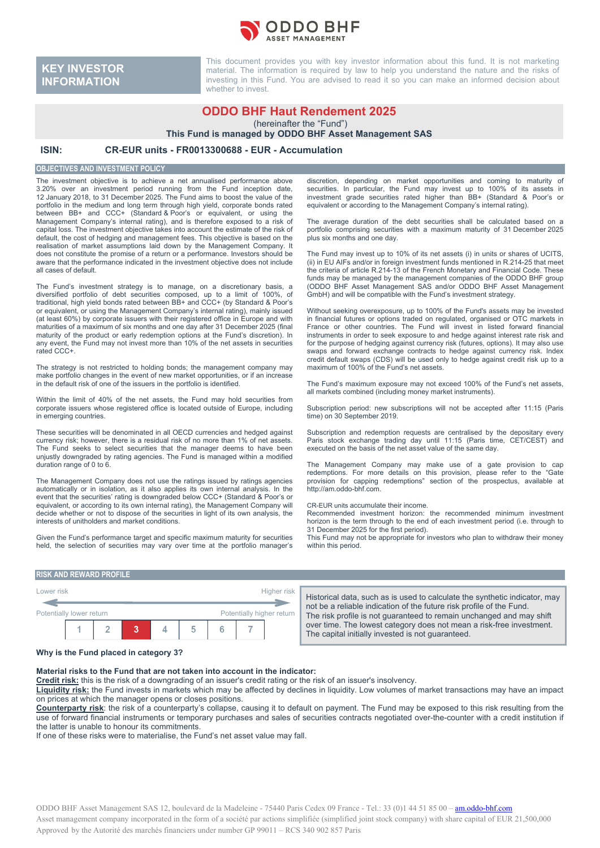

**KEY INVESTOR INFORMATION**

This document provides you with key investor information about this fund. It is not marketing material. The information is required by law to help you understand the nature and the risks of investing in this Fund. You are advised to read it so you can make an informed decision about whether to invest.

# **ODDO BHF Haut Rendement 2025**

(hereinafter the "Fund")

**This Fund is managed by ODDO BHF Asset Management SAS**

## **ISIN: CR-EUR units - FR0013300688 - EUR - Accumulation**

#### **OBJECTIVES AND INVESTMENT POLICY**

The investment objective is to achieve a net annualised performance above 3.20% over an investment period running from the Fund inception date, 12 January 2018, to 31 December 2025. The Fund aims to boost the value of the portfolio in the medium and long term through high yield, corporate bonds rated between BB+ and CCC+ (Standard & Poor's or equivalent, or using the Management Company's internal rating), and is therefore exposed to a risk of capital loss. The investment objective takes into account the estimate of the risk of default, the cost of hedging and management fees. This objective is based on the realisation of market assumptions laid down by the Management Company. It does not constitute the promise of a return or a performance. Investors should be aware that the performance indicated in the investment objective does not include all cases of default.

The Fund's investment strategy is to manage, on a discretionary basis, a diversified portfolio of debt securities composed, up to a limit of 100%, of traditional, high yield bonds rated between BB+ and CCC+ (by Standard & Poor's or equivalent, or using the Management Company's internal rating), mainly issued (at least 60%) by corporate issuers with their registered office in Europe and with maturities of a maximum of six months and one day after 31 December 2025 (final maturity of the product or early redemption options at the Fund's discretion). In any event, the Fund may not invest more than 10% of the net assets in securities rated CCC+.

The strategy is not restricted to holding bonds; the management company may make portfolio changes in the event of new market opportunities, or if an increase in the default risk of one of the issuers in the portfolio is identified.

Within the limit of 40% of the net assets, the Fund may hold securities from corporate issuers whose registered office is located outside of Europe, including in emerging countries.

These securities will be denominated in all OECD currencies and hedged against currency risk; however, there is a residual risk of no more than 1% of net assets. The Fund seeks to select securities that the manager deems to have been unjustly downgraded by rating agencies. The Fund is managed within a modified duration range of 0 to 6.

The Management Company does not use the ratings issued by ratings agencies automatically or in isolation, as it also applies its own internal analysis. In the event that the securities' rating is downgraded below CCC+ (Standard & Poor's or equivalent, or according to its own internal rating), the Management Company will decide whether or not to dispose of the securities in light of its own analysis, the interests of unitholders and market conditions.

Given the Fund's performance target and specific maximum maturity for securities held, the selection of securities may vary over time at the portfolio manager's discretion, depending on market opportunities and coming to maturity of securities. In particular, the Fund may invest up to 100% of its assets in investment grade securities rated higher than BB+ (Standard & Poor's or equivalent or according to the Management Company's internal rating).

The average duration of the debt securities shall be calculated based on a portfolio comprising securities with a maximum maturity of 31 December 2025 plus six months and one day.

The Fund may invest up to 10% of its net assets (i) in units or shares of UCITS, (ii) in EU AIFs and/or in foreign investment funds mentioned in R.214-25 that meet the criteria of article R.214-13 of the French Monetary and Financial Code. These funds may be managed by the management companies of the ODDO BHF group (ODDO BHF Asset Management SAS and/or ODDO BHF Asset Management GBB 6 B.m. Westernamigement one analog 6556 B.m. West

Without seeking overexposure, up to 100% of the Fund's assets may be invested in financial futures or options traded on regulated, organised or OTC markets in France or other countries. The Fund will invest in listed forward financial instruments in order to seek exposure to and hedge against interest rate risk and for the purpose of hedging against currency risk (futures, options). It may also use swaps and forward exchange contracts to hedge against currency risk. Index credit default swaps (CDS) will be used only to hedge against credit risk up to a maximum of 100% of the Fund's net assets.

The Fund's maximum exposure may not exceed 100% of the Fund's net assets, all markets combined (including money market instruments).

Subscription period: new subscriptions will not be accepted after 11:15 (Paris time) on 30 September 2019.

Subscription and redemption requests are centralised by the depositary every Paris stock exchange trading day until 11:15 (Paris time, CET/CEST) and executed on the basis of the net asset value of the same day.

The Management Company may make use of a gate provision to cap redemptions. For more details on this provision, please refer to the "Gate provision for capping redemptions" section of the prospectus, available at http://am.oddo-bhf.com.

#### CR-EUR units accumulate their income.

Recommended investment horizon: the recommended minimum investment horizon is the term through to the end of each investment period (i.e. through to 31 December 2025 for the first period).

This Fund may not be appropriate for investors who plan to withdraw their money within this period.

#### **RISK AND REWARD PROFILE**



Historical data, such as is used to calculate the synthetic indicator, may not be a reliable indication of the future risk profile of the Fund. The risk profile is not guaranteed to remain unchanged and may shift over time. The lowest category does not mean a risk-free investment. The capital initially invested is not guaranteed.

#### **Why is the Fund placed in category 3?**

#### **Material risks to the Fund that are not taken into account in the indicator:**

**Credit risk:** this is the risk of a downgrading of an issuer's credit rating or the risk of an issuer's insolvency.

**Liquidity risk:** the Fund invests in markets which may be affected by declines in liquidity. Low volumes of market transactions may have an impact on prices at which the manager opens or closes positions.

**Counterparty risk**: the risk of a counterparty's collapse, causing it to default on payment. The Fund may be exposed to this risk resulting from the use of forward financial instruments or temporary purchases and sales of securities contracts negotiated over-the-counter with a credit institution if the latter is unable to honour its commitments.

If one of these risks were to materialise, the Fund's net asset value may fall.